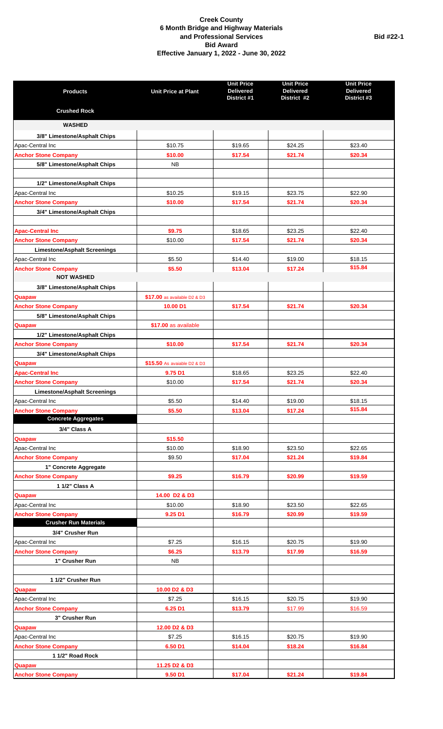|                                                                    |                                       | <b>Unit Price</b>               | <b>Unit Price</b>               | <b>Unit Price</b>               |
|--------------------------------------------------------------------|---------------------------------------|---------------------------------|---------------------------------|---------------------------------|
| <b>Products</b>                                                    | <b>Unit Price at Plant</b>            | <b>Delivered</b><br>District #1 | <b>Delivered</b><br>District #2 | <b>Delivered</b><br>District #3 |
| <b>Crushed Rock</b>                                                |                                       |                                 |                                 |                                 |
| <b>WASHED</b>                                                      |                                       |                                 |                                 |                                 |
| 3/8" Limestone/Asphalt Chips                                       |                                       |                                 |                                 |                                 |
| Apac-Central Inc                                                   | \$10.75                               | \$19.65                         | \$24.25                         | \$23.40                         |
| <b>Anchor Stone Company</b>                                        | \$10.00                               | \$17.54                         | \$21.74                         | \$20.34                         |
| 5/8" Limestone/Asphalt Chips                                       | <b>NB</b>                             |                                 |                                 |                                 |
|                                                                    |                                       |                                 |                                 |                                 |
| 1/2" Limestone/Asphalt Chips                                       |                                       |                                 |                                 |                                 |
| Apac-Central Inc                                                   | \$10.25                               | \$19.15                         | \$23.75                         | \$22.90                         |
| <b>Anchor Stone Company</b>                                        | \$10.00                               | \$17.54                         | \$21.74                         | \$20.34                         |
| 3/4" Limestone/Asphalt Chips                                       |                                       |                                 |                                 |                                 |
|                                                                    |                                       |                                 |                                 |                                 |
| <b>Apac-Central Inc.</b>                                           | \$9.75                                | \$18.65                         | \$23.25                         | \$22.40                         |
| <b>Anchor Stone Company</b><br><b>Limestone/Asphalt Screenings</b> | \$10.00                               | \$17.54                         | \$21.74                         | \$20.34                         |
| Apac-Central Inc                                                   | \$5.50                                | \$14.40                         | \$19.00                         | \$18.15                         |
| <b>Anchor Stone Company</b>                                        | \$5.50                                | \$13.04                         | \$17.24                         | \$15.84                         |
| <b>NOT WASHED</b>                                                  |                                       |                                 |                                 |                                 |
| 3/8" Limestone/Asphalt Chips                                       |                                       |                                 |                                 |                                 |
| Quapaw                                                             | \$17.00 as available D2 & D3          |                                 |                                 |                                 |
| <b>Anchor Stone Company</b>                                        | 10.00 D1                              | \$17.54                         | \$21.74                         | \$20.34                         |
| 5/8" Limestone/Asphalt Chips                                       |                                       |                                 |                                 |                                 |
| Quapaw                                                             | \$17.00 as available                  |                                 |                                 |                                 |
| 1/2" Limestone/Asphalt Chips                                       |                                       |                                 |                                 |                                 |
| <b>Anchor Stone Company</b>                                        | \$10.00                               | \$17.54                         | \$21.74                         | \$20.34                         |
| 3/4" Limestone/Asphalt Chips                                       |                                       |                                 |                                 |                                 |
| Quapaw                                                             | \$15.50 As avaiable D2 & D3           |                                 |                                 |                                 |
| <b>Apac-Central Inc.</b>                                           | 9.75 D1                               | \$18.65                         | \$23.25                         | \$22.40                         |
| <b>Anchor Stone Company</b>                                        | \$10.00                               | \$17.54                         | \$21.74                         | \$20.34                         |
| <b>Limestone/Asphalt Screenings</b>                                |                                       |                                 |                                 |                                 |
| Apac-Central Inc                                                   | \$5.50                                | \$14.40                         | \$19.00                         | \$18.15                         |
| <b>Anchor Stone Company</b>                                        | \$5.50                                | \$13.04                         | \$17.24                         | \$15.84                         |
| <b>Concrete Aggregates</b>                                         |                                       |                                 |                                 |                                 |
| 3/4" Class A                                                       |                                       |                                 |                                 |                                 |
| Quapaw                                                             | \$15.50                               |                                 |                                 |                                 |
| Apac-Central Inc                                                   | \$10.00                               | \$18.90                         | \$23.50                         | \$22.65                         |
| <b>Anchor Stone Company</b>                                        | \$9.50                                | \$17.04                         | \$21.24                         | \$19.84                         |
| 1" Concrete Aggregate                                              |                                       |                                 |                                 |                                 |
| <b>Anchor Stone Company</b>                                        | \$9.25                                | \$16.79                         | \$20.99                         | \$19.59                         |
| 1 1/2" Class A                                                     | 14.00 D2 & D3                         |                                 |                                 |                                 |
| Quapaw<br>Apac-Central Inc                                         | \$10.00                               | \$18.90                         | \$23.50                         | \$22.65                         |
| <b>Anchor Stone Company</b>                                        | 9.25 D1                               | \$16.79                         | \$20.99                         | \$19.59                         |
| <b>Crusher Run Materials</b>                                       |                                       |                                 |                                 |                                 |
| 3/4" Crusher Run                                                   |                                       |                                 |                                 |                                 |
| Apac-Central Inc                                                   | \$7.25                                | \$16.15                         | \$20.75                         | \$19.90                         |
| <b>Anchor Stone Company</b>                                        | \$6.25                                | \$13.79                         | \$17.99                         | \$16.59                         |
| 1" Crusher Run                                                     | NB.                                   |                                 |                                 |                                 |
|                                                                    |                                       |                                 |                                 |                                 |
| 1 1/2" Crusher Run                                                 |                                       |                                 |                                 |                                 |
| Quapaw                                                             | 10.00 D <sub>2</sub> & D <sub>3</sub> |                                 |                                 |                                 |
| Apac-Central Inc                                                   | \$7.25                                | \$16.15                         | \$20.75                         | \$19.90                         |
| <b>Anchor Stone Company</b>                                        | 6.25 D1                               | \$13.79                         | \$17.99                         | \$16.59                         |
| 3" Crusher Run                                                     |                                       |                                 |                                 |                                 |
| Quapaw                                                             | 12.00 D <sub>2</sub> & D <sub>3</sub> |                                 |                                 |                                 |
| Apac-Central Inc                                                   | \$7.25                                | \$16.15                         | \$20.75                         | \$19.90                         |
| <b>Anchor Stone Company</b>                                        | 6.50 D1                               | \$14.04                         | \$18.24                         | \$16.84                         |
| 1 1/2" Road Rock                                                   |                                       |                                 |                                 |                                 |
| Quapaw                                                             | 11.25 D <sub>2</sub> & D <sub>3</sub> |                                 |                                 |                                 |
| <b>Anchor Stone Company</b>                                        | 9.50 D1                               | \$17.04                         | \$21.24                         | \$19.84                         |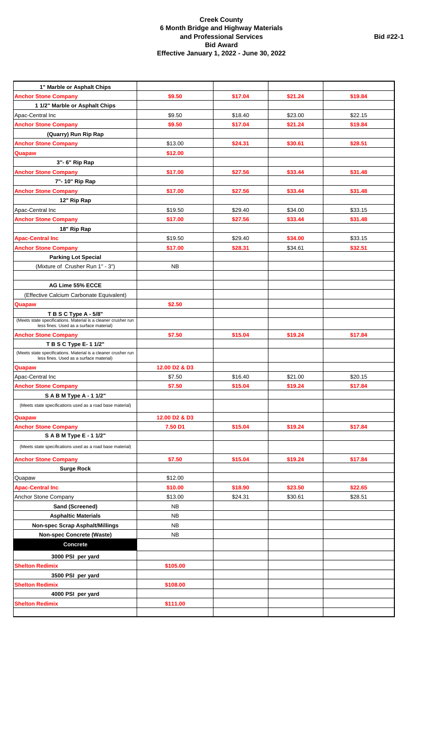| 1" Marble or Asphalt Chips                                                                                |               |         |         |         |
|-----------------------------------------------------------------------------------------------------------|---------------|---------|---------|---------|
| <b>Anchor Stone Company</b>                                                                               | \$9.50        | \$17.04 | \$21.24 | \$19.84 |
| 1 1/2" Marble or Asphalt Chips                                                                            |               |         |         |         |
| Apac-Central Inc                                                                                          | \$9.50        | \$18.40 | \$23.00 | \$22.15 |
| <b>Anchor Stone Company</b>                                                                               | \$9.50        | \$17.04 | \$21.24 | \$19.84 |
| (Quarry) Run Rip Rap                                                                                      |               |         |         |         |
| <b>Anchor Stone Company</b>                                                                               | \$13.00       | \$24.31 | \$30.61 | \$28.51 |
| Quapaw                                                                                                    | \$12.00       |         |         |         |
| 3"- 6" Rip Rap                                                                                            |               |         |         |         |
| <b>Anchor Stone Company</b>                                                                               | \$17.00       | \$27.56 | \$33.44 | \$31.48 |
| 7"-10" Rip Rap                                                                                            |               |         |         |         |
| <b>Anchor Stone Company</b>                                                                               | \$17.00       | \$27.56 | \$33.44 | \$31.48 |
| 12" Rip Rap                                                                                               |               |         |         |         |
| Apac-Central Inc                                                                                          | \$19.50       | \$29.40 | \$34.00 | \$33.15 |
| <b>Anchor Stone Company</b>                                                                               | \$17.00       | \$27.56 | \$33.44 | \$31.48 |
| 18" Rip Rap                                                                                               |               |         |         |         |
| <b>Apac-Central Inc</b>                                                                                   | \$19.50       | \$29.40 | \$34.00 | \$33.15 |
| <b>Anchor Stone Company</b>                                                                               | \$17.00       | \$28.31 | \$34.61 | \$32.51 |
| <b>Parking Lot Special</b>                                                                                |               |         |         |         |
| (Mixture of Crusher Run 1" - 3")                                                                          | <b>NB</b>     |         |         |         |
|                                                                                                           |               |         |         |         |
| AG Lime 55% ECCE                                                                                          |               |         |         |         |
| (Effective Calcium Carbonate Equivalent)                                                                  |               |         |         |         |
| Quapaw                                                                                                    | \$2.50        |         |         |         |
| TBSCType A-5/8"                                                                                           |               |         |         |         |
| (Meets state specifications. Material is a cleaner crusher run<br>less fines. Used as a surface material) |               |         |         |         |
| <b>Anchor Stone Company</b>                                                                               | \$7.50        | \$15.04 | \$19.24 | \$17.84 |
| T B S C Type E- 1 1/2"                                                                                    |               |         |         |         |
| (Meets state specifications. Material is a cleaner crusher run<br>less fines. Used as a surface material) |               |         |         |         |
| Quapaw                                                                                                    | 12.00 D2 & D3 |         |         |         |
| Apac-Central Inc                                                                                          | \$7.50        | \$16.40 | \$21.00 | \$20.15 |
| <b>Anchor Stone Company</b>                                                                               | \$7.50        | \$15.04 | \$19.24 | \$17.84 |
| S A B M Type A - 1 1/2"                                                                                   |               |         |         |         |
| (Meets state specifications used as a road base material)                                                 |               |         |         |         |
|                                                                                                           |               |         |         |         |
| Quapaw                                                                                                    | 12.00 D2 & D3 |         |         |         |
| <b>Anchor Stone Company</b><br>S A B M Type E - 1 1/2"                                                    | 7.50 D1       | \$15.04 | \$19.24 | \$17.84 |
|                                                                                                           |               |         |         |         |
| (Meets state specifications used as a road base material)                                                 |               |         |         |         |
| <b>Anchor Stone Company</b>                                                                               | \$7.50        | \$15.04 | \$19.24 | \$17.84 |
| <b>Surge Rock</b>                                                                                         |               |         |         |         |
| Quapaw                                                                                                    | \$12.00       |         |         |         |
| <b>Apac-Central Inc</b>                                                                                   | \$10.00       | \$18.90 | \$23.50 | \$22.65 |
| Anchor Stone Company                                                                                      | \$13.00       | \$24.31 | \$30.61 | \$28.51 |
| Sand (Screened)                                                                                           | <b>NB</b>     |         |         |         |
| <b>Asphaltic Materials</b>                                                                                | <b>NB</b>     |         |         |         |
| <b>Non-spec Scrap Asphalt/Millings</b>                                                                    | <b>NB</b>     |         |         |         |
| Non-spec Concrete (Waste)                                                                                 | <b>NB</b>     |         |         |         |
| <b>Concrete</b>                                                                                           |               |         |         |         |
| 3000 PSI per yard                                                                                         |               |         |         |         |
| <b>Shelton Redimix</b>                                                                                    | \$105.00      |         |         |         |
| 3500 PSI per yard                                                                                         |               |         |         |         |
| <b>Shelton Redimix</b>                                                                                    | \$108.00      |         |         |         |
| 4000 PSI per yard                                                                                         |               |         |         |         |
| <b>Shelton Redimix</b>                                                                                    | \$111.00      |         |         |         |
|                                                                                                           |               |         |         |         |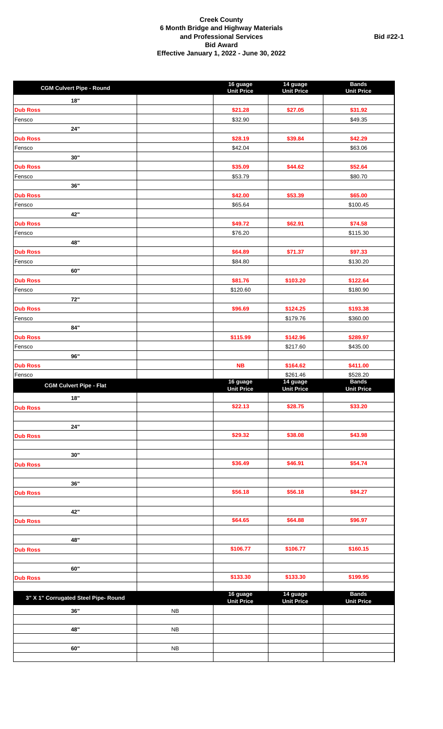| <b>CGM Culvert Pipe - Round</b>      |           | 16 guage<br>14 guage<br><b>Unit Price</b>                      | <b>Bands</b>                      |
|--------------------------------------|-----------|----------------------------------------------------------------|-----------------------------------|
| 18"                                  |           | <b>Unit Price</b>                                              | <b>Unit Price</b>                 |
| <b>Dub Ross</b>                      |           | \$21.28<br>\$27.05                                             | \$31.92                           |
| Fensco                               |           | \$32.90                                                        | \$49.35                           |
| 24"                                  |           |                                                                |                                   |
| <b>Dub Ross</b>                      |           | \$28.19<br>\$39.84                                             | \$42.29                           |
| Fensco                               |           | \$42.04                                                        | \$63.06                           |
| 30"                                  |           |                                                                |                                   |
| <b>Dub Ross</b><br>Fensco            |           | \$35.09<br>\$44.62<br>\$53.79                                  | \$52.64<br>\$80.70                |
| 36"                                  |           |                                                                |                                   |
| <b>Dub Ross</b>                      |           | \$42.00<br>\$53.39                                             | \$65.00                           |
| Fensco                               |           | \$65.64                                                        | \$100.45                          |
| 42"                                  |           |                                                                |                                   |
| <b>Dub Ross</b>                      |           | \$49.72<br>\$62.91                                             | \$74.58                           |
| Fensco                               |           | \$76.20                                                        | \$115.30                          |
| 48"                                  |           |                                                                |                                   |
| <b>Dub Ross</b>                      |           | \$64.89<br>\$71.37                                             | \$97.33                           |
| Fensco                               |           | \$84.80                                                        | \$130.20                          |
| 60"<br><b>Dub Ross</b>               |           | \$81.76<br>\$103.20                                            | \$122.64                          |
| Fensco                               |           | \$120.60                                                       | \$180.90                          |
| 72"                                  |           |                                                                |                                   |
| <b>Dub Ross</b>                      |           | \$124.25<br>\$96.69                                            | \$193.38                          |
| Fensco                               |           | \$179.76                                                       | \$360.00                          |
| 84"                                  |           |                                                                |                                   |
| <b>Dub Ross</b>                      |           | \$115.99<br>\$142.96                                           | \$289.97                          |
| Fensco                               |           | \$217.60                                                       | \$435.00                          |
| 96"                                  |           |                                                                |                                   |
| <b>Dub Ross</b>                      |           | <b>NB</b><br>\$164.62                                          | \$411.00                          |
| Fensco                               |           | \$261.46<br>16 guage<br>14 guage                               | \$528.20<br><b>Bands</b>          |
|                                      |           |                                                                |                                   |
| <b>CGM Culvert Pipe - Flat</b>       |           | <b>Unit Price</b><br><b>Unit Price</b>                         | <b>Unit Price</b>                 |
| 18"                                  |           |                                                                |                                   |
| <b>Dub Ross</b>                      |           | \$22.13<br>\$28.75                                             | \$33.20                           |
|                                      |           |                                                                |                                   |
| 24"                                  |           |                                                                |                                   |
| <b>Dub Ross</b>                      |           | \$29.32<br>\$38.08                                             | \$43.98                           |
| 30"                                  |           |                                                                |                                   |
| <b>Dub Ross</b>                      |           | \$36.49<br>\$46.91                                             | \$54.74                           |
|                                      |           |                                                                |                                   |
| 36"                                  |           |                                                                |                                   |
| <b>Dub Ross</b>                      |           | \$56.18<br>\$56.18                                             | \$84.27                           |
|                                      |           |                                                                |                                   |
| 42"                                  |           |                                                                |                                   |
| <b>Dub Ross</b>                      |           | \$64.65<br>\$64.88                                             | \$96.97                           |
|                                      |           |                                                                |                                   |
| 48"<br><b>Dub Ross</b>               |           | \$106.77<br>\$106.77                                           | \$160.15                          |
|                                      |           |                                                                |                                   |
| 60"                                  |           |                                                                |                                   |
| <b>Dub Ross</b>                      |           | \$133.30<br>\$133.30                                           | \$199.95                          |
|                                      |           |                                                                |                                   |
| 3" X 1" Corrugated Steel Pipe- Round |           | 16 guage<br>14 guage<br><b>Unit Price</b><br><b>Unit Price</b> | <b>Bands</b><br><b>Unit Price</b> |
| 36"                                  | NB        |                                                                |                                   |
|                                      |           |                                                                |                                   |
| 48"                                  | <b>NB</b> |                                                                |                                   |
|                                      |           |                                                                |                                   |
| 60"                                  | NB        |                                                                |                                   |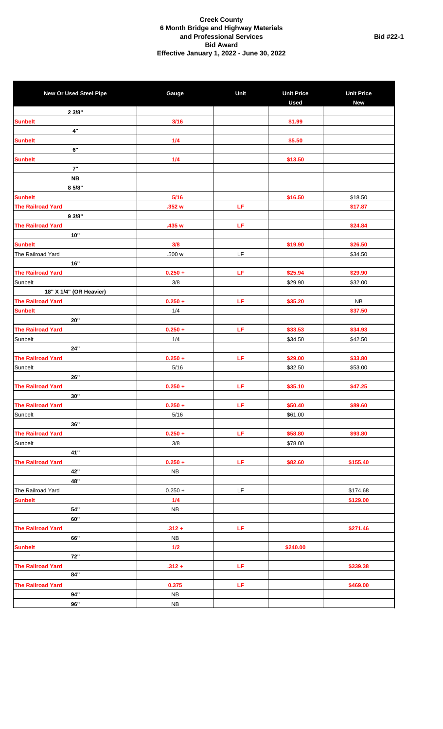| <b>New Or Used Steel Pipe</b>       | Gauge      | Unit                                                                         | <b>Unit Price</b><br><b>Used</b> | <b>Unit Price</b><br><b>New</b> |
|-------------------------------------|------------|------------------------------------------------------------------------------|----------------------------------|---------------------------------|
| 2 3/8"                              |            |                                                                              |                                  |                                 |
| <b>Sunbelt</b>                      | 3/16       |                                                                              | \$1.99                           |                                 |
| 4"                                  |            |                                                                              |                                  |                                 |
| <b>Sunbelt</b>                      | 1/4        |                                                                              | \$5.50                           |                                 |
| 6"                                  |            |                                                                              |                                  |                                 |
| <b>Sunbelt</b>                      | 1/4        |                                                                              | \$13.50                          |                                 |
| $7"$                                |            |                                                                              |                                  |                                 |
| NB                                  |            |                                                                              |                                  |                                 |
| 8 5/8"                              |            |                                                                              |                                  |                                 |
| <b>Sunbelt</b>                      | 5/16       |                                                                              | \$16.50                          | \$18.50                         |
| <b>The Railroad Yard</b>            | .352 w     | LF                                                                           |                                  | \$17.87                         |
| 9 3/8"                              |            |                                                                              |                                  |                                 |
| <b>The Railroad Yard</b>            | .435 w     | LF                                                                           |                                  | \$24.84                         |
| 10"                                 |            |                                                                              |                                  |                                 |
| <b>Sunbelt</b>                      | 3/8        |                                                                              | \$19.90                          | \$26.50                         |
| The Railroad Yard                   | .500 w     | LF                                                                           |                                  | \$34.50                         |
| 16"                                 |            |                                                                              |                                  |                                 |
| <b>The Railroad Yard</b>            | $0.250 +$  | LF                                                                           | \$25.94                          | \$29.90                         |
| Sunbelt                             | $3/8$      |                                                                              | \$29.90                          | \$32.00                         |
| 18" X 1/4" (OR Heavier)             |            |                                                                              |                                  |                                 |
| <b>The Railroad Yard</b>            | $0.250 +$  | LF                                                                           | \$35.20                          | <b>NB</b>                       |
| <b>Sunbelt</b>                      | 1/4        |                                                                              |                                  | \$37.50                         |
| 20"                                 |            |                                                                              |                                  |                                 |
| <b>The Railroad Yard</b>            | $0.250 +$  | LF                                                                           | \$33.53                          | \$34.93                         |
| Sunbelt                             | 1/4        |                                                                              | \$34.50                          | \$42.50                         |
| 24"                                 |            |                                                                              |                                  |                                 |
| <b>The Railroad Yard</b>            | $0.250 +$  | LF                                                                           | \$29.00                          | \$33.80                         |
| Sunbelt                             | 5/16       |                                                                              | \$32.50                          | \$53.00                         |
| 26"                                 |            |                                                                              |                                  |                                 |
| <b>The Railroad Yard</b>            | $0.250 +$  | LF                                                                           | \$35.10                          | \$47.25                         |
| 30"                                 |            |                                                                              |                                  |                                 |
| <b>The Railroad Yard</b>            | $0.250 +$  | LF                                                                           | \$50.40                          | \$89.60                         |
| Sunbelt                             | $5/16$     |                                                                              | \$61.00                          |                                 |
| 36"                                 |            |                                                                              |                                  |                                 |
| <b>The Railroad Yard</b>            | $0.250 +$  | $\mathsf{LF}% _{0}\left( t\right) \rightarrow\mathsf{LF}_{0}\left( t\right)$ | \$58.80                          | \$93.80                         |
| Sunbelt                             | $3/8$      |                                                                              | \$78.00                          |                                 |
| 41"                                 |            |                                                                              |                                  |                                 |
| <b>The Railroad Yard</b>            | $0.250 +$  | LF                                                                           | \$82.60                          | \$155.40                        |
| 42"                                 | NB         |                                                                              |                                  |                                 |
| 48"                                 |            |                                                                              |                                  |                                 |
| The Railroad Yard<br><b>Sunbelt</b> | $0.250 +$  | $\mathsf{LF}% _{0}\left( t\right) \equiv\mathsf{LF}_{0}\left( t\right)$      |                                  | \$174.68                        |
| 54"                                 | 1/4        |                                                                              |                                  | \$129.00                        |
| 60"                                 | <b>NB</b>  |                                                                              |                                  |                                 |
| <b>The Railroad Yard</b>            | $.312 +$   | LF                                                                           |                                  | \$271.46                        |
| 66"                                 | <b>NB</b>  |                                                                              |                                  |                                 |
| <b>Sunbelt</b>                      | $1/2$      |                                                                              | \$240.00                         |                                 |
| 72"                                 |            |                                                                              |                                  |                                 |
| <b>The Railroad Yard</b>            | $.312 +$   | LF                                                                           |                                  | \$339.38                        |
| 84"                                 |            |                                                                              |                                  |                                 |
| <b>The Railroad Yard</b>            | 0.375      | LF                                                                           |                                  | \$469.00                        |
| 94"                                 | ${\sf NB}$ |                                                                              |                                  |                                 |
| 96"                                 | NB         |                                                                              |                                  |                                 |
|                                     |            |                                                                              |                                  |                                 |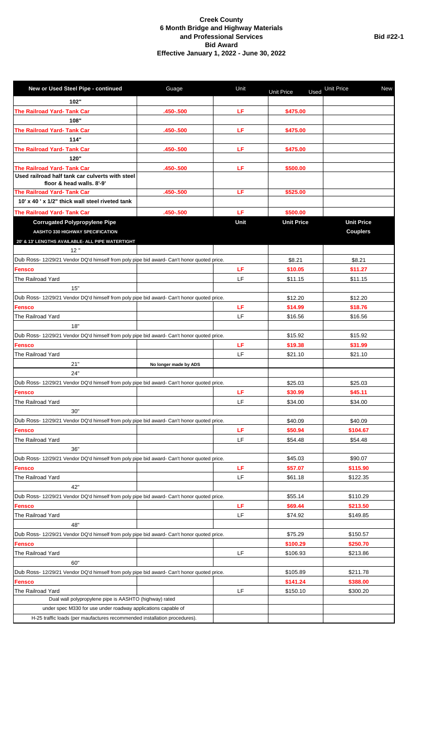| New or Used Steel Pipe - continued                                                         | Guage                 | Unit | <b>Used</b><br><b>Unit Price</b> | Unit Price<br><b>New</b> |
|--------------------------------------------------------------------------------------------|-----------------------|------|----------------------------------|--------------------------|
| 102"                                                                                       |                       |      |                                  |                          |
| The Railroad Yard- Tank Car                                                                | .450-.500             | LF   | \$475.00                         |                          |
| 108"                                                                                       |                       |      |                                  |                          |
| The Railroad Yard- Tank Car                                                                | .450-.500             | LF   | \$475.00                         |                          |
| 114"                                                                                       |                       |      |                                  |                          |
| The Railroad Yard- Tank Car                                                                | .450-.500             | LF   | \$475.00                         |                          |
| 120"                                                                                       |                       |      |                                  |                          |
| The Railroad Yard- Tank Car                                                                | .450-.500             | LF   | \$500.00                         |                          |
| Used railroad half tank car culverts with steel                                            |                       |      |                                  |                          |
| floor & head walls, 8'-9'<br>The Railroad Yard- Tank Car                                   | .450 - .500           | LF   | \$525.00                         |                          |
| 10' x 40 ' x 1/2" thick wall steel riveted tank                                            |                       |      |                                  |                          |
|                                                                                            |                       |      |                                  |                          |
| <b>The Railroad Yard- Tank Car</b>                                                         | .450-.500             | LF   | \$500.00                         |                          |
| <b>Corrugated Polypropylene Pipe</b>                                                       |                       | Unit | <b>Unit Price</b>                | <b>Unit Price</b>        |
| AASHTO 330 HIGHWAY SPECIFICATION                                                           |                       |      |                                  | <b>Couplers</b>          |
| 20' & 13' LENGTHS AVAILABLE- ALL PIPE WATERTIGHT                                           |                       |      |                                  |                          |
| 12"                                                                                        |                       |      |                                  |                          |
| Dub Ross- 12/29/21 Vendor DQ'd himself from poly pipe bid award- Can't honor quoted price. |                       | LF   | \$8.21                           | \$8.21<br>\$11.27        |
| <b>Fensco</b>                                                                              |                       | LF   | \$10.05                          |                          |
| The Railroad Yard<br>15"                                                                   |                       |      | \$11.15                          | \$11.15                  |
| Dub Ross- 12/29/21 Vendor DQ'd himself from poly pipe bid award- Can't honor quoted price. |                       |      | \$12.20                          | \$12.20                  |
| Fensco                                                                                     |                       | LF   | \$14.99                          | \$18.76                  |
| The Railroad Yard                                                                          |                       | LF   | \$16.56                          | \$16.56                  |
| 18"                                                                                        |                       |      |                                  |                          |
| Dub Ross- 12/29/21 Vendor DQ'd himself from poly pipe bid award- Can't honor quoted price. |                       |      | \$15.92                          | \$15.92                  |
| Fensco                                                                                     |                       | LF   | \$19.38                          | \$31.99                  |
| The Railroad Yard                                                                          |                       | LF   | \$21.10                          | \$21.10                  |
| 21"                                                                                        | No longer made by ADS |      |                                  |                          |
| 24"                                                                                        |                       |      |                                  |                          |
| Dub Ross- 12/29/21 Vendor DQ'd himself from poly pipe bid award- Can't honor quoted price. |                       |      | \$25.03                          | \$25.03                  |
| <b>Fensco</b>                                                                              |                       | LF   | \$30.99                          | \$45.11                  |
| The Railroad Yard                                                                          |                       | LF   | \$34.00                          | \$34.00                  |
| 30"                                                                                        |                       |      |                                  |                          |
| Dub Ross- 12/29/21 Vendor DQ'd himself from poly pipe bid award- Can't honor quoted price. |                       |      | \$40.09                          | \$40.09                  |
| Fensco                                                                                     |                       | LF   | \$50.94                          | \$104.67                 |
| The Railroad Yard                                                                          |                       | LF   | \$54.48                          | \$54.48                  |
| 36"                                                                                        |                       |      |                                  |                          |
| Dub Ross- 12/29/21 Vendor DQ'd himself from poly pipe bid award- Can't honor quoted price. |                       |      | \$45.03                          | \$90.07                  |
| Fensco                                                                                     |                       | LF   | \$57.07                          | \$115.90                 |
| The Railroad Yard                                                                          |                       | LF   | \$61.18                          | \$122.35                 |
| 42"                                                                                        |                       |      |                                  |                          |
| Dub Ross- 12/29/21 Vendor DQ'd himself from poly pipe bid award- Can't honor quoted price. |                       |      | \$55.14                          | \$110.29                 |
| Fensco                                                                                     |                       | LF   | \$69.44                          | \$213.50                 |
| The Railroad Yard                                                                          |                       | LF   | \$74.92                          | \$149.85                 |
| 48"                                                                                        |                       |      |                                  |                          |
| Dub Ross- 12/29/21 Vendor DQ'd himself from poly pipe bid award- Can't honor quoted price. |                       |      | \$75.29                          | \$150.57                 |
| Fensco                                                                                     |                       |      | \$100.29                         | \$250.70                 |
| The Railroad Yard                                                                          |                       | LF   | \$106.93                         | \$213.86                 |
| 60"                                                                                        |                       |      |                                  |                          |
| Dub Ross- 12/29/21 Vendor DQ'd himself from poly pipe bid award- Can't honor quoted price. |                       |      | \$105.89                         | \$211.78                 |
| Fensco                                                                                     |                       |      | \$141.24                         | \$388.00                 |
| The Railroad Yard                                                                          |                       | LF   | \$150.10                         | \$300.20                 |
| Dual wall polypropylene pipe is AASHTO (highway) rated                                     |                       |      |                                  |                          |
| under spec M330 for use under roadway applications capable of                              |                       |      |                                  |                          |
| H-25 traffic loads (per maufactures recommended installation procedures).                  |                       |      |                                  |                          |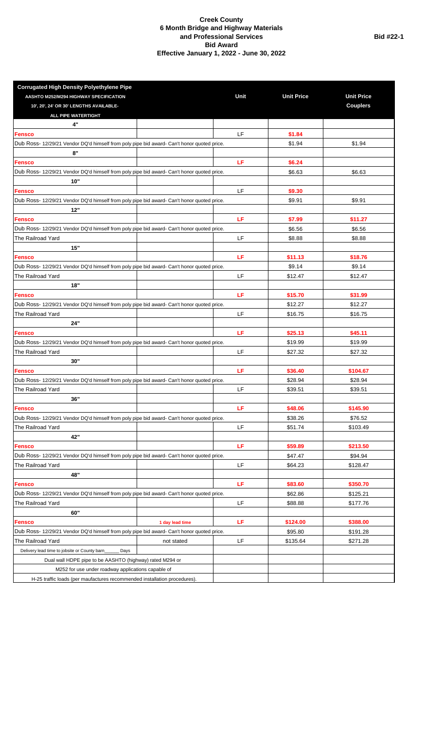| <b>Corrugated High Density Polyethylene Pipe</b>                                           |                 |      |                   |                   |
|--------------------------------------------------------------------------------------------|-----------------|------|-------------------|-------------------|
| AASHTO M252/M294 HIGHWAY SPECIFICATION                                                     |                 | Unit | <b>Unit Price</b> | <b>Unit Price</b> |
| 10', 20', 24' OR 30' LENGTHS AVAILABLE-                                                    |                 |      |                   | <b>Couplers</b>   |
| ALL PIPE WATERTIGHT                                                                        |                 |      |                   |                   |
| 4"                                                                                         |                 |      |                   |                   |
| Fensco                                                                                     |                 | LF   | \$1.84            |                   |
| Dub Ross- 12/29/21 Vendor DQ'd himself from poly pipe bid award- Can't honor quoted price. |                 |      | \$1.94            | \$1.94            |
| 8"                                                                                         |                 |      |                   |                   |
| Fensco                                                                                     |                 | LF   | \$6.24            |                   |
| Dub Ross- 12/29/21 Vendor DQ'd himself from poly pipe bid award- Can't honor quoted price. |                 |      | \$6.63            | \$6.63            |
| 10"                                                                                        |                 |      |                   |                   |
| Fensco                                                                                     |                 | LF   | \$9.30            |                   |
| Dub Ross- 12/29/21 Vendor DQ'd himself from poly pipe bid award- Can't honor quoted price. |                 |      | \$9.91            | \$9.91            |
| 12"                                                                                        |                 |      |                   |                   |
| Fensco                                                                                     |                 | LF   | \$7.99            | \$11.27           |
| Dub Ross- 12/29/21 Vendor DQ'd himself from poly pipe bid award- Can't honor quoted price. |                 |      | \$6.56            | \$6.56            |
| The Railroad Yard                                                                          |                 | LF   | \$8.88            | \$8.88            |
| 15"                                                                                        |                 |      |                   |                   |
| <b>Fensco</b>                                                                              |                 | LF   | \$11.13           | \$18.76           |
| Dub Ross- 12/29/21 Vendor DQ'd himself from poly pipe bid award- Can't honor quoted price. |                 |      | \$9.14            | \$9.14            |
| The Railroad Yard                                                                          |                 | LF   | \$12.47           | \$12.47           |
| 18"                                                                                        |                 |      |                   |                   |
|                                                                                            |                 | LF   |                   |                   |
| <b>Fensco</b>                                                                              |                 |      | \$15.70           | \$31.99           |
| Dub Ross- 12/29/21 Vendor DQ'd himself from poly pipe bid award- Can't honor quoted price. |                 |      | \$12.27           | \$12.27           |
| The Railroad Yard                                                                          |                 | LF   | \$16.75           | \$16.75           |
| 24"                                                                                        |                 |      |                   |                   |
| <b>Fensco</b>                                                                              |                 | LF   | \$25.13           | \$45.11           |
| Dub Ross- 12/29/21 Vendor DQ'd himself from poly pipe bid award- Can't honor quoted price. |                 |      | \$19.99           | \$19.99           |
| The Railroad Yard                                                                          |                 | LF   | \$27.32           | \$27.32           |
| 30"                                                                                        |                 |      |                   |                   |
| Fensco                                                                                     |                 | LF   | \$36.40           | \$104.67          |
| Dub Ross- 12/29/21 Vendor DQ'd himself from poly pipe bid award- Can't honor quoted price. |                 |      | \$28.94           | \$28.94           |
| The Railroad Yard                                                                          |                 | LF   | \$39.51           | \$39.51           |
| 36"                                                                                        |                 |      |                   |                   |
| <b>Fensco</b>                                                                              |                 | LF   | \$48.06           | \$145.90          |
| Dub Ross- 12/29/21 Vendor DQ'd himself from poly pipe bid award- Can't honor quoted price. |                 |      | \$38.26           | \$76.52           |
| The Railroad Yard                                                                          |                 | LF   | \$51.74           | \$103.49          |
| 42"                                                                                        |                 |      |                   |                   |
| Fensco                                                                                     |                 | LF   | \$59.89           | \$213.50          |
| Dub Ross- 12/29/21 Vendor DQ'd himself from poly pipe bid award- Can't honor quoted price. |                 |      | \$47.47           | \$94.94           |
| The Railroad Yard                                                                          |                 | LF   | \$64.23           | \$128.47          |
| 48"                                                                                        |                 |      |                   |                   |
| <b>Fensco</b>                                                                              |                 | LF   | \$83.60           | \$350.70          |
| Dub Ross- 12/29/21 Vendor DQ'd himself from poly pipe bid award- Can't honor quoted price. |                 |      | \$62.86           | \$125.21          |
| The Railroad Yard                                                                          |                 | LF   | \$88.88           | \$177.76          |
| 60"                                                                                        |                 |      |                   |                   |
| Fensco                                                                                     | 1 day lead time | LF   | \$124.00          | \$388.00          |
| Dub Ross- 12/29/21 Vendor DQ'd himself from poly pipe bid award- Can't honor quoted price. |                 |      | \$95.80           | \$191.28          |
| The Railroad Yard                                                                          | not stated      | LF   | \$135.64          | \$271.28          |
| Delivery lead time to jobsite or County barn<br>Days                                       |                 |      |                   |                   |
| Dual wall HDPE pipe to be AASHTO (highway) rated M294 or                                   |                 |      |                   |                   |
| M252 for use under roadway applications capable of                                         |                 |      |                   |                   |
| H-25 traffic loads (per maufactures recommended installation procedures).                  |                 |      |                   |                   |
|                                                                                            |                 |      |                   |                   |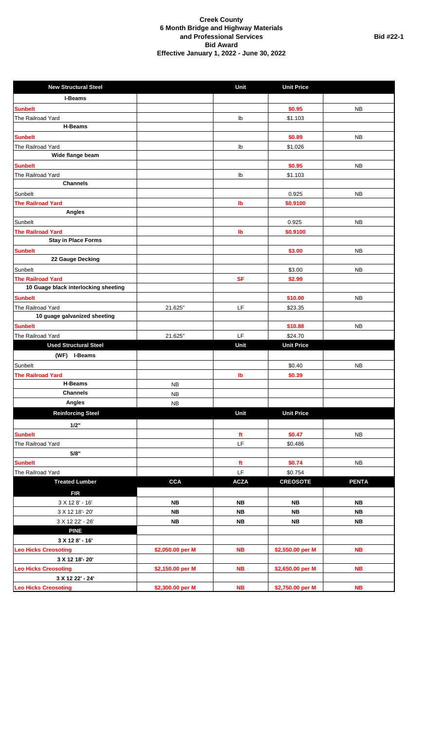| <b>New Structural Steel</b>          |                            | Unit           | <b>Unit Price</b>          |                            |
|--------------------------------------|----------------------------|----------------|----------------------------|----------------------------|
| I-Beams                              |                            |                |                            |                            |
| <b>Sunbelt</b>                       |                            |                | \$0.95                     | <b>NB</b>                  |
| The Railroad Yard                    |                            | I <sub>b</sub> | \$1.103                    |                            |
| <b>H-Beams</b>                       |                            |                |                            |                            |
| <b>Sunbelt</b>                       |                            |                | \$0.89                     | <b>NB</b>                  |
| The Railroad Yard                    |                            | lb             | \$1.026                    |                            |
| Wide flange beam                     |                            |                |                            |                            |
| <b>Sunbelt</b>                       |                            |                | \$0.95                     | <b>NB</b>                  |
| The Railroad Yard                    |                            | lb             | \$1.103                    |                            |
| <b>Channels</b>                      |                            |                |                            |                            |
| Sunbelt                              |                            |                | 0.925                      | <b>NB</b>                  |
| <b>The Railroad Yard</b>             |                            | Ib             | \$0.9100                   |                            |
| Angles                               |                            |                |                            |                            |
| Sunbelt                              |                            |                | 0.925                      | <b>NB</b>                  |
| <b>The Railroad Yard</b>             |                            | lb             | \$0.9100                   |                            |
| <b>Stay in Place Forms</b>           |                            |                |                            |                            |
| Sunbelt                              |                            |                | \$3.00                     | <b>NB</b>                  |
| 22 Gauge Decking                     |                            |                |                            |                            |
| Sunbelt                              |                            |                | \$3.00                     | <b>NB</b>                  |
| <b>The Railroad Yard</b>             |                            | <b>SF</b>      | \$2.99                     |                            |
| 10 Guage black interlocking sheeting |                            |                |                            |                            |
| <b>Sunbelt</b>                       |                            |                | \$10.00                    | <b>NB</b>                  |
| The Railroad Yard                    | 21.625"                    | LF             | \$23.35                    |                            |
| 10 guage galvanized sheeting         |                            |                |                            |                            |
| <b>Sunbelt</b>                       |                            |                | \$10.88                    | <b>NB</b>                  |
| The Railroad Yard                    | 21.625"                    | LF             | \$24.70                    |                            |
| <b>Used Structural Steel</b>         |                            | Unit           | <b>Unit Price</b>          |                            |
| (WF) I-Beams                         |                            |                |                            |                            |
| Sunbelt                              |                            |                | \$0.40                     | <b>NB</b>                  |
| <b>The Railroad Yard</b>             |                            | Ib             | \$0.39                     |                            |
| <b>H-Beams</b>                       | <b>NB</b>                  |                |                            |                            |
| <b>Channels</b>                      | <b>NB</b>                  |                |                            |                            |
| Angles                               | ${\sf NB}$                 |                |                            |                            |
| <b>Reinforcing Steel</b>             |                            | Unit           | <b>Unit Price</b>          |                            |
|                                      |                            |                |                            |                            |
| 1/2"                                 |                            |                |                            |                            |
| <b>Sunbelt</b>                       |                            | ft             | \$0.47                     | ${\sf NB}$                 |
| The Railroad Yard                    |                            | LF             | \$0.486                    |                            |
| 5/8"                                 |                            |                |                            |                            |
| <b>Sunbelt</b>                       |                            | ft             | \$0.74                     | ${\sf NB}$                 |
| The Railroad Yard                    |                            | LF             | \$0.754                    |                            |
| <b>Treated Lumber</b>                | <b>CCA</b>                 | <b>ACZA</b>    | <b>CREOSOTE</b>            | <b>PENTA</b>               |
| <b>FIR</b>                           |                            |                |                            |                            |
| 3 X 12 8' - 16'                      | NB                         | NB             | $\boldsymbol{\mathsf{NB}}$ | NB                         |
| 3 X 12 18'-20'                       | NB                         | <b>NB</b>      | NB                         | NB                         |
| 3 X 12 22' - 26'                     | $\boldsymbol{\mathsf{NB}}$ | NB             | $\boldsymbol{\mathsf{NB}}$ | $\boldsymbol{\mathsf{NB}}$ |
| <b>PINE</b>                          |                            |                |                            |                            |
| 3 X 12 8' - 16'                      |                            |                |                            |                            |
| <b>Leo Hicks Creosoting</b>          | \$2,050.00 per M           | NB             | \$2,550.00 per M           | <b>NB</b>                  |
| 3 X 12 18'-20'                       |                            |                |                            |                            |
| <b>Leo Hicks Creosoting</b>          | \$2,150.00 per M           | NB             | \$2,650.00 per M           | <b>NB</b>                  |
| 3 X 12 22' - 24'                     |                            |                |                            |                            |
| <b>Leo Hicks Creosoting</b>          | \$2,300.00 per M           | NB             | \$2,750.00 per M           | NB                         |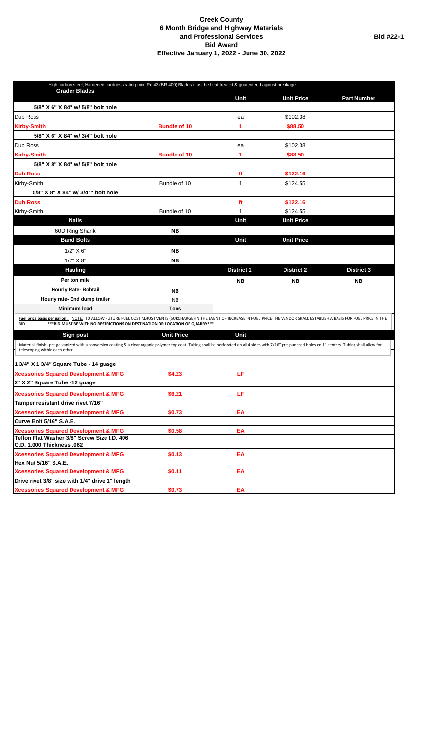| High carbon steel, Hardened hardness rating-min. Rc 43 (BR 400) Blades must be heat treated & guarenteed against breakage.                                                                                                                   |                     |                   |                   |                    |
|----------------------------------------------------------------------------------------------------------------------------------------------------------------------------------------------------------------------------------------------|---------------------|-------------------|-------------------|--------------------|
| <b>Grader Blades</b>                                                                                                                                                                                                                         |                     |                   |                   |                    |
|                                                                                                                                                                                                                                              |                     | <b>Unit</b>       | <b>Unit Price</b> | <b>Part Number</b> |
| 5/8" X 6" X 84" w/ 5/8" bolt hole                                                                                                                                                                                                            |                     |                   |                   |                    |
| Dub Ross                                                                                                                                                                                                                                     |                     | ea                | \$102.38          |                    |
| <b>Kirby-Smith</b>                                                                                                                                                                                                                           | <b>Bundle of 10</b> | 1                 | \$88.50           |                    |
| 5/8" X 6" X 84" w/ 3/4" bolt hole                                                                                                                                                                                                            |                     |                   |                   |                    |
| Dub Ross                                                                                                                                                                                                                                     |                     | ea                | \$102.38          |                    |
| <b>Kirby-Smith</b>                                                                                                                                                                                                                           | <b>Bundle of 10</b> | 1                 | \$88.50           |                    |
| 5/8" X 8" X 84" w/ 5/8" bolt hole                                                                                                                                                                                                            |                     |                   |                   |                    |
| <b>Dub Ross</b>                                                                                                                                                                                                                              |                     | ft                | \$122.16          |                    |
| Kirby-Smith                                                                                                                                                                                                                                  | Bundle of 10        | $\mathbf{1}$      | \$124.55          |                    |
| 5/8" X 8" X 84" w/ 3/4"" bolt hole                                                                                                                                                                                                           |                     |                   |                   |                    |
| <b>Dub Ross</b>                                                                                                                                                                                                                              |                     | ft                | \$122.16          |                    |
| Kirby-Smith                                                                                                                                                                                                                                  | Bundle of 10        | 1                 | \$124.55          |                    |
| <b>Nails</b>                                                                                                                                                                                                                                 |                     | Unit              | <b>Unit Price</b> |                    |
| 60D Ring Shank                                                                                                                                                                                                                               | <b>NB</b>           |                   |                   |                    |
| <b>Band Bolts</b>                                                                                                                                                                                                                            |                     | Unit              | <b>Unit Price</b> |                    |
| 1/2" X 6"                                                                                                                                                                                                                                    | NΒ                  |                   |                   |                    |
| 1/2" X 8"                                                                                                                                                                                                                                    | <b>NB</b>           |                   |                   |                    |
| <b>Hauling</b>                                                                                                                                                                                                                               |                     | <b>District 1</b> | <b>District 2</b> | <b>District 3</b>  |
| Per ton mile                                                                                                                                                                                                                                 |                     | NΒ                | NΒ                | ΝB                 |
| <b>Hourly Rate- Bobtail</b>                                                                                                                                                                                                                  | <b>NB</b>           |                   |                   |                    |
| Hourly rate- End dump trailer                                                                                                                                                                                                                | <b>NB</b>           |                   |                   |                    |
| Minimum load                                                                                                                                                                                                                                 | <b>Tons</b>         |                   |                   |                    |
| Fuel price basis per gallon: NOTE: TO ALLOW FUTURE FUEL COST ADJUSTMENTS (SURCHARGE) IN THE EVENT OF INCREASE IN FUEL PRICE THE VENDOR SHALL ESTABLISH A BASIS FOR FUEL PRICE IN THE                                                         |                     |                   |                   |                    |
| *** BID MUST BE WITH NO RESTRICTIONS ON DESTINATION OR LOCATION OF QUARRY***<br>BID.                                                                                                                                                         |                     |                   |                   |                    |
| Sign post                                                                                                                                                                                                                                    | <b>Unit Price</b>   | Unit              |                   |                    |
| Material finish- pre-galvanized with a conversion coating & a clear organic polymer top coat. Tubing shall be perforated on all 4 sides with 7/16" pre-punched holes on 1" centers. Tubing shall allow for<br>telescoping within each other. |                     |                   |                   |                    |
| 1 3/4" X 1 3/4" Square Tube - 14 guage                                                                                                                                                                                                       |                     |                   |                   |                    |
| <b>Xcessories Squared Development &amp; MFG</b>                                                                                                                                                                                              | \$4.23              | LF                |                   |                    |
| 2" X 2" Square Tube -12 guage                                                                                                                                                                                                                |                     |                   |                   |                    |
| <b>Xcessories Squared Development &amp; MFG</b>                                                                                                                                                                                              | \$6.21              | LF                |                   |                    |
| Tamper resistant drive rivet 7/16"                                                                                                                                                                                                           |                     |                   |                   |                    |
| <b>Xcessories Squared Development &amp; MFG</b>                                                                                                                                                                                              | \$0.73              | EA                |                   |                    |
| Curve Bolt 5/16" S.A.E.                                                                                                                                                                                                                      |                     |                   |                   |                    |
| <b>Xcessories Squared Development &amp; MFG</b>                                                                                                                                                                                              | \$0.58              | EA                |                   |                    |
| Teflon Flat Washer 3/8" Screw Size I.D. 406<br>O.D. 1.000 Thickness .062                                                                                                                                                                     |                     |                   |                   |                    |
| <b>Xcessories Squared Development &amp; MFG</b>                                                                                                                                                                                              | \$0.13              | ЕA                |                   |                    |
| Hex Nut 5/16" S.A.E.                                                                                                                                                                                                                         |                     |                   |                   |                    |
| <b>Xcessories Squared Development &amp; MFG</b>                                                                                                                                                                                              | \$0.11              | ΕA                |                   |                    |
| Drive rivet 3/8" size with 1/4" drive 1" length                                                                                                                                                                                              |                     |                   |                   |                    |
| <b>Xcessories Squared Development &amp; MFG</b>                                                                                                                                                                                              | \$0.73              | EA                |                   |                    |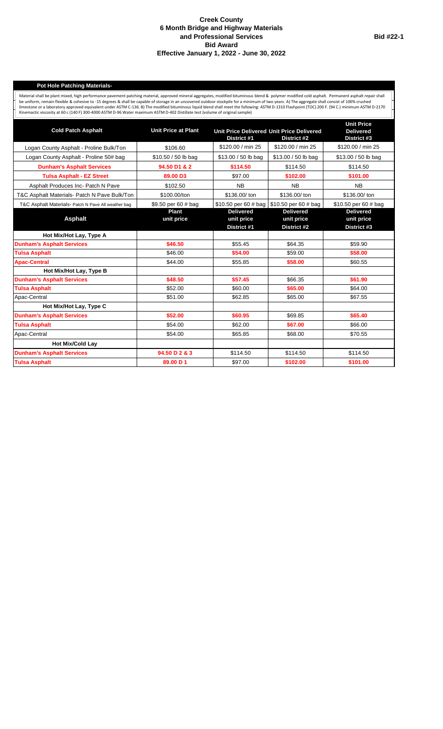#### **Pot Hole Patching Materials-**

Material shall be plant mixed, high performance pavement patching material, approved mineral aggregates, modified bituminous blend & polymer modified cold asphalt. Permanent asphalt repair shall be blant charge the located

| <b>Cold Patch Asphalt</b>                           | <b>Unit Price at Plant</b> | Unit Price Delivered Unit Price Delivered<br>District #1 | District #2                                   | <b>Unit Price</b><br><b>Delivered</b><br>District #3 |
|-----------------------------------------------------|----------------------------|----------------------------------------------------------|-----------------------------------------------|------------------------------------------------------|
| Logan County Asphalt - Proline Bulk/Ton             | \$106.60                   | \$120.00 / min 25                                        | \$120.00 / min 25                             | \$120.00 / min 25                                    |
| Logan County Asphalt - Proline 50# bag              | \$10.50 / 50 lb bag        | \$13.00 / 50 lb bag                                      | \$13.00 / 50 lb bag                           | \$13.00 / 50 lb bag                                  |
| <b>Dunham's Asphalt Services</b>                    | 94.50 D1 & 2               | \$114.50                                                 | \$114.50                                      | \$114.50                                             |
| <b>Tulsa Asphalt - EZ Street</b>                    | 89.00 D3                   | \$97.00                                                  | \$102.00                                      | \$101.00                                             |
| Asphalt Produces Inc- Patch N Pave                  | \$102.50                   | <b>NB</b>                                                | <b>NB</b>                                     | <b>NB</b>                                            |
| T&C Asphalt Materials- Patch N Pave Bulk/Ton        | \$100.00/ton               | \$136.00/ ton                                            | \$136.00/ ton                                 | \$136.00/ ton                                        |
| T&C Asphalt Materials- Patch N Pave All weather bag | \$9.50 per 60 # bag        |                                                          | \$10.50 per 60 # bag \ \$10.50 per 60 # bag   | \$10.50 per 60 # bag                                 |
| <b>Asphalt</b>                                      | Plant<br>unit price        | <b>Delivered</b><br>unit price<br>District #1            | <b>Delivered</b><br>unit price<br>District #2 | <b>Delivered</b><br>unit price<br>District #3        |
| Hot Mix/Hot Lay, Type A                             |                            |                                                          |                                               |                                                      |
| <b>Dunham's Asphalt Services</b>                    | \$46.50                    | \$55.45                                                  | \$64.35                                       | \$59.90                                              |
| <b>Tulsa Asphalt</b>                                | \$46.00                    | \$54.00                                                  | \$59.00                                       | \$58.00                                              |
| <b>Apac-Central</b>                                 | \$44.00                    | \$55.85                                                  | \$58.00                                       | \$60.55                                              |
| Hot Mix/Hot Lay, Type B                             |                            |                                                          |                                               |                                                      |
| <b>Dunham's Asphalt Services</b>                    | \$48.50                    | \$57.45                                                  | \$66.35                                       | \$61.90                                              |
| <b>Tulsa Asphalt</b>                                | \$52.00                    | \$60.00                                                  | \$65.00                                       | \$64.00                                              |
| Apac-Central                                        | \$51.00                    | \$62.85                                                  | \$65.00                                       | \$67.55                                              |
| Hot Mix/Hot Lay, Type C                             |                            |                                                          |                                               |                                                      |
| <b>Dunham's Asphalt Services</b>                    | \$52.00                    | \$60.95                                                  | \$69.85                                       | \$65.40                                              |
| <b>Tulsa Asphalt</b>                                | \$54.00                    | \$62.00                                                  | \$67.00                                       | \$66.00                                              |
| Apac-Central                                        | \$54.00                    | \$65.85                                                  | \$68.00                                       | \$70.55                                              |
| <b>Hot Mix/Cold Lay</b>                             |                            |                                                          |                                               |                                                      |
| <b>Dunham's Asphalt Services</b>                    | 94.50 D 2 & 3              | \$114.50                                                 | \$114.50                                      | \$114.50                                             |
| <b>Tulsa Asphalt</b>                                | 89.00 D 1                  | \$97.00                                                  | \$102.00                                      | \$101.00                                             |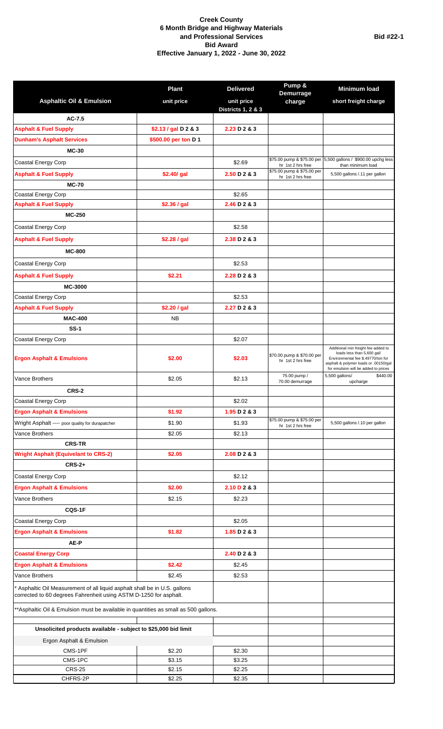|                                                                                                                                               | <b>Plant</b>         | <b>Delivered</b>              | Pump &<br>Demurrage                             | <b>Minimum load</b>                                                                                                                               |
|-----------------------------------------------------------------------------------------------------------------------------------------------|----------------------|-------------------------------|-------------------------------------------------|---------------------------------------------------------------------------------------------------------------------------------------------------|
| <b>Asphaltic Oil &amp; Emulsion</b>                                                                                                           | unit price           | unit price                    | charge                                          | short freight charge                                                                                                                              |
| $AC-7.5$                                                                                                                                      |                      | <b>Districts 1, 2 &amp; 3</b> |                                                 |                                                                                                                                                   |
| <b>Asphalt &amp; Fuel Supply</b>                                                                                                              | \$2.13 / gal D 2 & 3 | 2.23 D 2 8 3                  |                                                 |                                                                                                                                                   |
| <b>Dunham's Asphalt Services</b>                                                                                                              | \$500.00 per ton D 1 |                               |                                                 |                                                                                                                                                   |
| <b>MC-30</b>                                                                                                                                  |                      |                               |                                                 |                                                                                                                                                   |
| Coastal Energy Corp                                                                                                                           |                      | \$2.69                        | hr 1st 2 hrs free                               | \$75.00 pump & \$75.00 per 5,500 gallons / \$900.00 upchg less<br>than minimum load                                                               |
| <b>Asphalt &amp; Fuel Supply</b>                                                                                                              | \$2.40/ gal          | 2.50 D 2 8 3                  | \$75.00 pump & \$75.00 per<br>hr 1st 2 hrs free | 5,500 gallons /.11 per gallon                                                                                                                     |
| <b>MC-70</b>                                                                                                                                  |                      |                               |                                                 |                                                                                                                                                   |
| Coastal Energy Corp                                                                                                                           |                      | \$2.65                        |                                                 |                                                                                                                                                   |
| <b>Asphalt &amp; Fuel Supply</b>                                                                                                              | \$2.36 / gal         | 2.46 D 2 & 3                  |                                                 |                                                                                                                                                   |
| <b>MC-250</b>                                                                                                                                 |                      |                               |                                                 |                                                                                                                                                   |
| Coastal Energy Corp                                                                                                                           |                      | \$2.58                        |                                                 |                                                                                                                                                   |
| <b>Asphalt &amp; Fuel Supply</b>                                                                                                              | \$2.28 / gal         | 2.38 D 2 & 3                  |                                                 |                                                                                                                                                   |
| <b>MC-800</b>                                                                                                                                 |                      |                               |                                                 |                                                                                                                                                   |
| <b>Coastal Energy Corp</b>                                                                                                                    |                      | \$2.53                        |                                                 |                                                                                                                                                   |
| <b>Asphalt &amp; Fuel Supply</b>                                                                                                              | \$2.21               | $2.28$ D 2 & 3                |                                                 |                                                                                                                                                   |
| <b>MC-3000</b>                                                                                                                                |                      |                               |                                                 |                                                                                                                                                   |
| Coastal Energy Corp                                                                                                                           |                      | \$2.53                        |                                                 |                                                                                                                                                   |
| <b>Asphalt &amp; Fuel Supply</b>                                                                                                              | \$2.20 / gal         | 2.27 D 2 & 3                  |                                                 |                                                                                                                                                   |
| <b>MAC-400</b>                                                                                                                                | <b>NB</b>            |                               |                                                 |                                                                                                                                                   |
| $SS-1$                                                                                                                                        |                      |                               |                                                 |                                                                                                                                                   |
| Coastal Energy Corp                                                                                                                           |                      | \$2.07                        |                                                 |                                                                                                                                                   |
|                                                                                                                                               |                      |                               |                                                 | Additional min freight fee added to                                                                                                               |
| <b>Ergon Asphalt &amp; Emulsions</b>                                                                                                          | \$2.00               | \$2.03                        | \$70.00 pump & \$70.00 per<br>hr 1st 2 hrs free | loads less than 5,600 gal/<br>Environmental fee \$.49770/ton for<br>asphalt & polymer loads or .00150/gal<br>for emulsion will be added to prices |
| Vance Brothers                                                                                                                                | \$2.05               | \$2.13                        | 75.00 pump /<br>70.00 demurrage                 | \$440.00<br>5,500 gallons/<br>upcharge                                                                                                            |
| CRS-2                                                                                                                                         |                      |                               |                                                 |                                                                                                                                                   |
| <b>Coastal Energy Corp</b>                                                                                                                    |                      | \$2.02                        |                                                 |                                                                                                                                                   |
| <b>Ergon Asphalt &amp; Emulsions</b>                                                                                                          | \$1.92               | 1.95 D283                     |                                                 |                                                                                                                                                   |
| Wright Asphalt ---- poor quality for durapatcher                                                                                              | \$1.90               | \$1.93                        | \$75.00 pump & \$75.00 per<br>hr 1st 2 hrs free | 5,500 gallons /.10 per gallon                                                                                                                     |
| Vance Brothers                                                                                                                                | \$2.05               | \$2.13                        |                                                 |                                                                                                                                                   |
| <b>CRS-TR</b>                                                                                                                                 |                      |                               |                                                 |                                                                                                                                                   |
| <b>Wright Asphalt (Equivelant to CRS-2)</b>                                                                                                   | \$2.05               | $2.08$ D 2 & 3                |                                                 |                                                                                                                                                   |
| <b>CRS-2+</b>                                                                                                                                 |                      |                               |                                                 |                                                                                                                                                   |
| Coastal Energy Corp                                                                                                                           |                      | \$2.12                        |                                                 |                                                                                                                                                   |
| <b>Ergon Asphalt &amp; Emulsions</b>                                                                                                          | \$2.00               | 2.10 D 2 & 3                  |                                                 |                                                                                                                                                   |
| Vance Brothers                                                                                                                                | \$2.15               | \$2.23                        |                                                 |                                                                                                                                                   |
| <b>CQS-1F</b>                                                                                                                                 |                      |                               |                                                 |                                                                                                                                                   |
| <b>Coastal Energy Corp</b>                                                                                                                    |                      | \$2.05                        |                                                 |                                                                                                                                                   |
| <b>Ergon Asphalt &amp; Emulsions</b>                                                                                                          | \$1.82               | 1.85 D283                     |                                                 |                                                                                                                                                   |
| AE-P                                                                                                                                          |                      |                               |                                                 |                                                                                                                                                   |
| <b>Coastal Energy Corp</b>                                                                                                                    |                      | 2.40 D283                     |                                                 |                                                                                                                                                   |
| <b>Ergon Asphalt &amp; Emulsions</b>                                                                                                          | \$2.42               | \$2.45                        |                                                 |                                                                                                                                                   |
| Vance Brothers                                                                                                                                | \$2.45               | \$2.53                        |                                                 |                                                                                                                                                   |
| Asphaltic Oil Measurement of all liquid asphalt shall be in U.S. gallons<br>corrected to 60 degrees Fahrenheit using ASTM D-1250 for asphalt. |                      |                               |                                                 |                                                                                                                                                   |
| **Asphaltic Oil & Emulsion must be available in quantities as small as 500 gallons.                                                           |                      |                               |                                                 |                                                                                                                                                   |
| Unsolicited products available - subject to \$25,000 bid limit                                                                                |                      |                               |                                                 |                                                                                                                                                   |
| Ergon Asphalt & Emulsion                                                                                                                      |                      |                               |                                                 |                                                                                                                                                   |
| CMS-1PF                                                                                                                                       | \$2.20               | \$2.30                        |                                                 |                                                                                                                                                   |
| CMS-1PC                                                                                                                                       | \$3.15               | \$3.25                        |                                                 |                                                                                                                                                   |
| <b>CRS-25</b><br>CHFRS-2P                                                                                                                     | \$2.15<br>\$2.25     | \$2.25<br>\$2.35              |                                                 |                                                                                                                                                   |
|                                                                                                                                               |                      |                               |                                                 |                                                                                                                                                   |